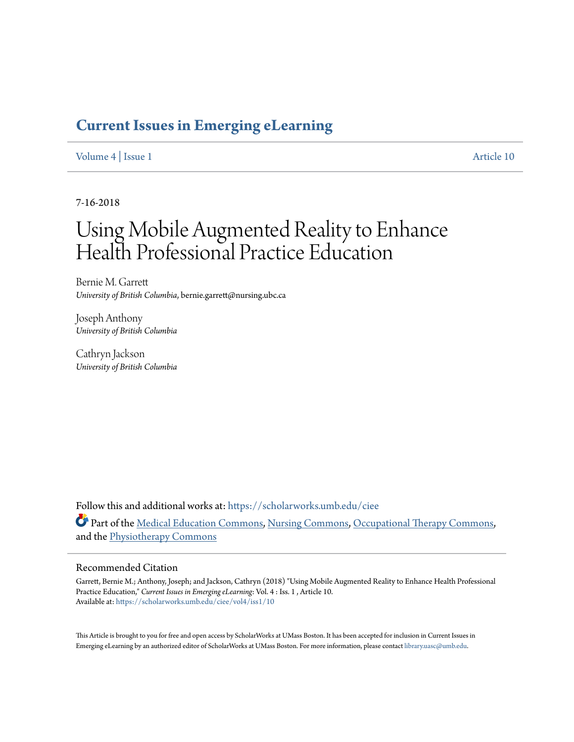## **[Current Issues in Emerging eLearning](https://scholarworks.umb.edu/ciee?utm_source=scholarworks.umb.edu%2Fciee%2Fvol4%2Fiss1%2F10&utm_medium=PDF&utm_campaign=PDFCoverPages)**

#### [Volume 4](https://scholarworks.umb.edu/ciee/vol4?utm_source=scholarworks.umb.edu%2Fciee%2Fvol4%2Fiss1%2F10&utm_medium=PDF&utm_campaign=PDFCoverPages) | [Issue 1](https://scholarworks.umb.edu/ciee/vol4/iss1?utm_source=scholarworks.umb.edu%2Fciee%2Fvol4%2Fiss1%2F10&utm_medium=PDF&utm_campaign=PDFCoverPages) [Article 10](https://scholarworks.umb.edu/ciee/vol4/iss1/10?utm_source=scholarworks.umb.edu%2Fciee%2Fvol4%2Fiss1%2F10&utm_medium=PDF&utm_campaign=PDFCoverPages)

7-16-2018

# Using Mobile Augmented Reality to Enhance Health Professional Practice Education

Bernie M. Garrett *University of British Columbia*, bernie.garrett@nursing.ubc.ca

Joseph Anthony *University of British Columbia*

Cathryn Jackson *University of British Columbia*

Follow this and additional works at: [https://scholarworks.umb.edu/ciee](https://scholarworks.umb.edu/ciee?utm_source=scholarworks.umb.edu%2Fciee%2Fvol4%2Fiss1%2F10&utm_medium=PDF&utm_campaign=PDFCoverPages) Part of the [Medical Education Commons,](http://network.bepress.com/hgg/discipline/1125?utm_source=scholarworks.umb.edu%2Fciee%2Fvol4%2Fiss1%2F10&utm_medium=PDF&utm_campaign=PDFCoverPages) [Nursing Commons](http://network.bepress.com/hgg/discipline/718?utm_source=scholarworks.umb.edu%2Fciee%2Fvol4%2Fiss1%2F10&utm_medium=PDF&utm_campaign=PDFCoverPages), [Occupational Therapy Commons,](http://network.bepress.com/hgg/discipline/752?utm_source=scholarworks.umb.edu%2Fciee%2Fvol4%2Fiss1%2F10&utm_medium=PDF&utm_campaign=PDFCoverPages) and the [Physiotherapy Commons](http://network.bepress.com/hgg/discipline/1086?utm_source=scholarworks.umb.edu%2Fciee%2Fvol4%2Fiss1%2F10&utm_medium=PDF&utm_campaign=PDFCoverPages)

#### Recommended Citation

Garrett, Bernie M.; Anthony, Joseph; and Jackson, Cathryn (2018) "Using Mobile Augmented Reality to Enhance Health Professional Practice Education," *Current Issues in Emerging eLearning*: Vol. 4 : Iss. 1 , Article 10. Available at: [https://scholarworks.umb.edu/ciee/vol4/iss1/10](https://scholarworks.umb.edu/ciee/vol4/iss1/10?utm_source=scholarworks.umb.edu%2Fciee%2Fvol4%2Fiss1%2F10&utm_medium=PDF&utm_campaign=PDFCoverPages)

This Article is brought to you for free and open access by ScholarWorks at UMass Boston. It has been accepted for inclusion in Current Issues in Emerging eLearning by an authorized editor of ScholarWorks at UMass Boston. For more information, please contact [library.uasc@umb.edu](mailto:library.uasc@umb.edu).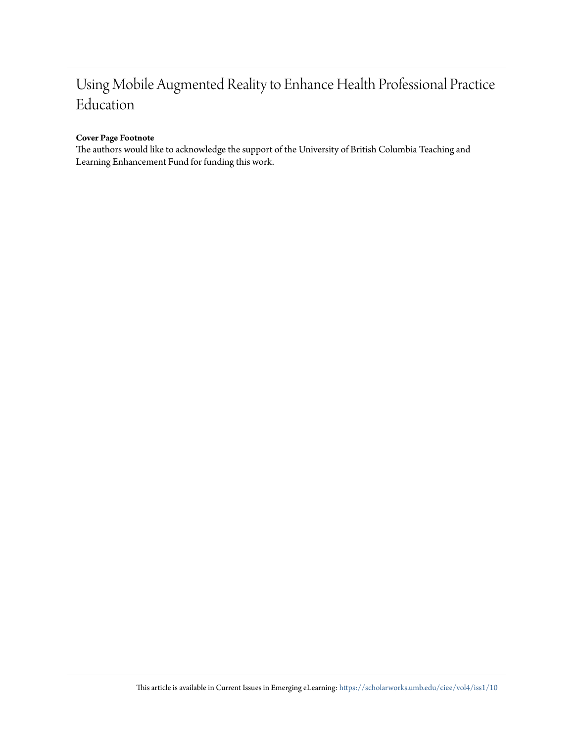## Using Mobile Augmented Reality to Enhance Health Professional Practice Education

#### **Cover Page Footnote**

The authors would like to acknowledge the support of the University of British Columbia Teaching and Learning Enhancement Fund for funding this work.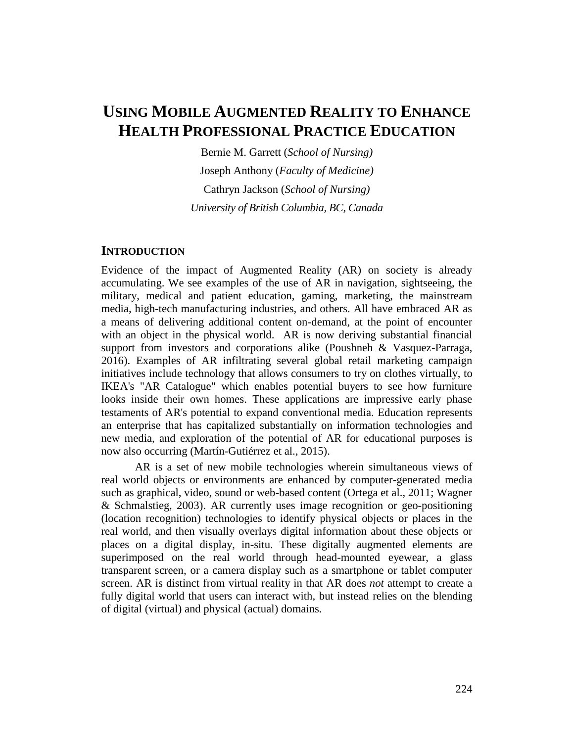## **USING MOBILE AUGMENTED REALITY TO ENHANCE HEALTH PROFESSIONAL PRACTICE EDUCATION**

Bernie M. Garrett (*School of Nursing)* Joseph Anthony (*Faculty of Medicine)* Cathryn Jackson (*School of Nursing) University of British Columbia, BC, Canada*

#### **INTRODUCTION**

Evidence of the impact of Augmented Reality (AR) on society is already accumulating. We see examples of the use of AR in navigation, sightseeing, the military, medical and patient education, gaming, marketing, the mainstream media, high-tech manufacturing industries, and others. All have embraced AR as a means of delivering additional content on-demand, at the point of encounter with an object in the physical world. AR is now deriving substantial financial support from investors and corporations alike (Poushneh & Vasquez-Parraga, 2016). Examples of AR infiltrating several global retail marketing campaign initiatives include technology that allows consumers to try on clothes virtually, to IKEA's "AR Catalogue" which enables potential buyers to see how furniture looks inside their own homes. These applications are impressive early phase testaments of AR's potential to expand conventional media. Education represents an enterprise that has capitalized substantially on information technologies and new media, and exploration of the potential of AR for educational purposes is now also occurring (Martín-Gutiérrez et al., 2015).

AR is a set of new mobile technologies wherein simultaneous views of real world objects or environments are enhanced by computer-generated media such as graphical, video, sound or web-based content (Ortega et al., 2011; Wagner & Schmalstieg, 2003). AR currently uses image recognition or geo-positioning (location recognition) technologies to identify physical objects or places in the real world, and then visually overlays digital information about these objects or places on a digital display, in-situ. These digitally augmented elements are superimposed on the real world through head-mounted eyewear, a glass transparent screen, or a camera display such as a smartphone or tablet computer screen. AR is distinct from virtual reality in that AR does *not* attempt to create a fully digital world that users can interact with, but instead relies on the blending of digital (virtual) and physical (actual) domains.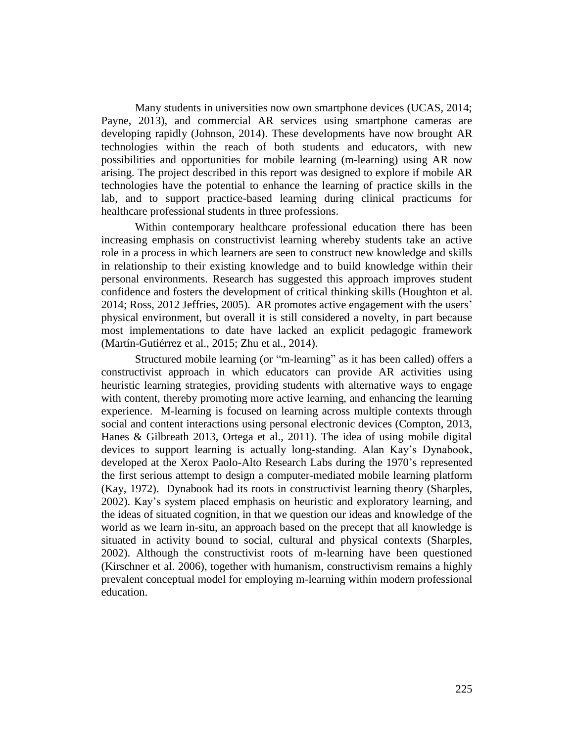Many students in universities now own smartphone devices (UCAS, 2014; Payne, 2013), and commercial AR services using smartphone cameras are developing rapidly (Johnson, 2014). These developments have now brought AR technologies within the reach of both students and educators, with new possibilities and opportunities for mobile learning (m-learning) using AR now arising. The project described in this report was designed to explore if mobile AR technologies have the potential to enhance the learning of practice skills in the lab, and to support practice-based learning during clinical practicums for healthcare professional students in three professions.

Within contemporary healthcare professional education there has been increasing emphasis on constructivist learning whereby students take an active role in a process in which learners are seen to construct new knowledge and skills in relationship to their existing knowledge and to build knowledge within their personal environments. Research has suggested this approach improves student confidence and fosters the development of critical thinking skills (Houghton et al. 2014; Ross, 2012 Jeffries, 2005). AR promotes active engagement with the users' physical environment, but overall it is still considered a novelty, in part because most implementations to date have lacked an explicit pedagogic framework (Martín-Gutiérrez et al., 2015; Zhu et al., 2014).

Structured mobile learning (or "m-learning" as it has been called) offers a constructivist approach in which educators can provide AR activities using heuristic learning strategies, providing students with alternative ways to engage with content, thereby promoting more active learning, and enhancing the learning experience. M-learning is focused on learning across multiple contexts through social and content interactions using personal electronic devices (Compton, 2013, Hanes & Gilbreath 2013, Ortega et al., 2011). The idea of using mobile digital devices to support learning is actually long-standing. Alan Kay's Dynabook, developed at the Xerox Paolo-Alto Research Labs during the 1970's represented the first serious attempt to design a computer-mediated mobile learning platform (Kay, 1972). Dynabook had its roots in constructivist learning theory (Sharples, 2002). Kay's system placed emphasis on heuristic and exploratory learning, and the ideas of situated cognition, in that we question our ideas and knowledge of the world as we learn in-situ, an approach based on the precept that all knowledge is situated in activity bound to social, cultural and physical contexts (Sharples, 2002). Although the constructivist roots of m-learning have been questioned (Kirschner et al. 2006), together with humanism, constructivism remains a highly prevalent conceptual model for employing m-learning within modern professional education.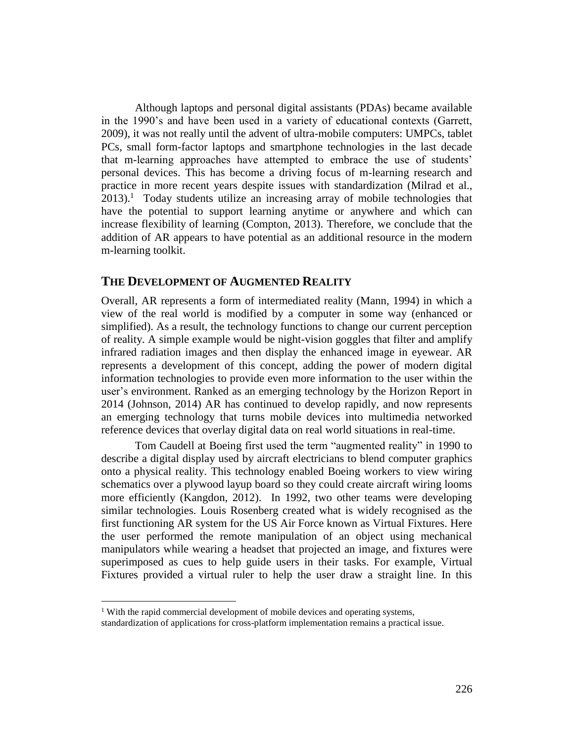Although laptops and personal digital assistants (PDAs) became available in the 1990's and have been used in a variety of educational contexts (Garrett, 2009), it was not really until the advent of ultra-mobile computers: UMPCs, tablet PCs, small form-factor laptops and smartphone technologies in the last decade that m-learning approaches have attempted to embrace the use of students' personal devices. This has become a driving focus of m-learning research and practice in more recent years despite issues with standardization (Milrad et al.,  $2013$ ).<sup>1</sup> Today students utilize an increasing array of mobile technologies that have the potential to support learning anytime or anywhere and which can increase flexibility of learning (Compton, 2013). Therefore, we conclude that the addition of AR appears to have potential as an additional resource in the modern m-learning toolkit.

#### **THE DEVELOPMENT OF AUGMENTED REALITY**

Overall, AR represents a form of intermediated reality (Mann, 1994) in which a view of the real world is modified by a computer in some way (enhanced or simplified). As a result, the technology functions to change our current perception of reality. A simple example would be night-vision goggles that filter and amplify infrared radiation images and then display the enhanced image in eyewear. AR represents a development of this concept, adding the power of modern digital information technologies to provide even more information to the user within the user's environment. Ranked as an emerging technology by the Horizon Report in 2014 (Johnson, 2014) AR has continued to develop rapidly, and now represents an emerging technology that turns mobile devices into multimedia networked reference devices that overlay digital data on real world situations in real-time.

Tom Caudell at Boeing first used the term "augmented reality" in 1990 to describe a digital display used by aircraft electricians to blend computer graphics onto a physical reality. This technology enabled Boeing workers to view wiring schematics over a plywood layup board so they could create aircraft wiring looms more efficiently (Kangdon, 2012). In 1992, two other teams were developing similar technologies. Louis Rosenberg created what is widely recognised as the first functioning AR system for the US Air Force known as Virtual Fixtures. Here the user performed the remote manipulation of an object using mechanical manipulators while wearing a headset that projected an image, and fixtures were superimposed as cues to help guide users in their tasks. For example, Virtual Fixtures provided a virtual ruler to help the user draw a straight line. In this

 $\overline{a}$ 

<sup>&</sup>lt;sup>1</sup> With the rapid commercial development of mobile devices and operating systems,

standardization of applications for cross-platform implementation remains a practical issue.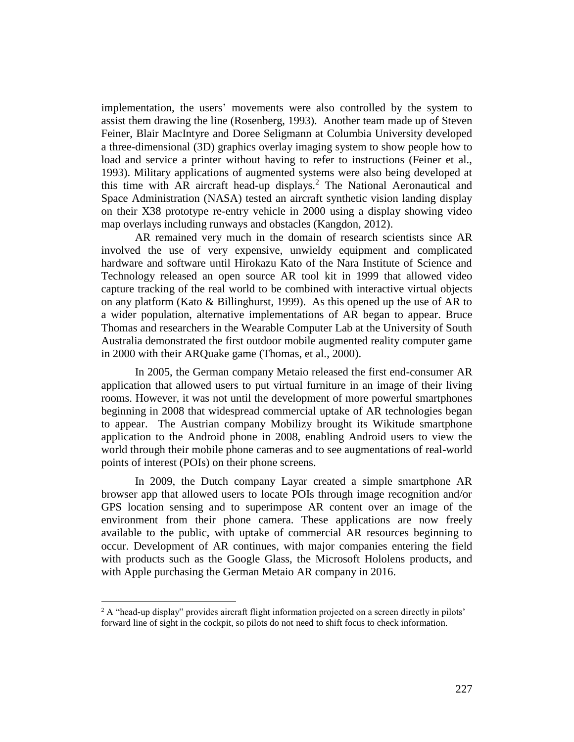implementation, the users' movements were also controlled by the system to assist them drawing the line (Rosenberg, 1993). Another team made up of Steven Feiner, Blair MacIntyre and Doree Seligmann at Columbia University developed a three-dimensional (3D) graphics overlay imaging system to show people how to load and service a printer without having to refer to instructions (Feiner et al., 1993). Military applications of augmented systems were also being developed at this time with AR aircraft head-up displays.<sup>2</sup> The National Aeronautical and Space Administration (NASA) tested an aircraft synthetic vision landing display on their X38 prototype re-entry vehicle in 2000 using a display showing video map overlays including runways and obstacles (Kangdon, 2012).

AR remained very much in the domain of research scientists since AR involved the use of very expensive, unwieldy equipment and complicated hardware and software until Hirokazu Kato of the Nara Institute of Science and Technology released an open source AR tool kit in 1999 that allowed video capture tracking of the real world to be combined with interactive virtual objects on any platform (Kato & Billinghurst, 1999). As this opened up the use of AR to a wider population, alternative implementations of AR began to appear. Bruce Thomas and researchers in the Wearable Computer Lab at the University of South Australia demonstrated the first outdoor mobile augmented reality computer game in 2000 with their ARQuake game (Thomas, et al., 2000).

In 2005, the German company Metaio released the first end-consumer AR application that allowed users to put virtual furniture in an image of their living rooms. However, it was not until the development of more powerful smartphones beginning in 2008 that widespread commercial uptake of AR technologies began to appear. The Austrian company Mobilizy brought its Wikitude smartphone application to the Android phone in 2008, enabling Android users to view the world through their mobile phone cameras and to see augmentations of real-world points of interest (POIs) on their phone screens.

In 2009, the Dutch company Layar created a simple smartphone AR browser app that allowed users to locate POIs through image recognition and/or GPS location sensing and to superimpose AR content over an image of the environment from their phone camera. These applications are now freely available to the public, with uptake of commercial AR resources beginning to occur. Development of AR continues, with major companies entering the field with products such as the Google Glass, the Microsoft Hololens products, and with Apple purchasing the German Metaio AR company in 2016.

 $\overline{a}$ 

<sup>&</sup>lt;sup>2</sup> A "head-up display" provides aircraft flight information projected on a screen directly in pilots' forward line of sight in the cockpit, so pilots do not need to shift focus to check information.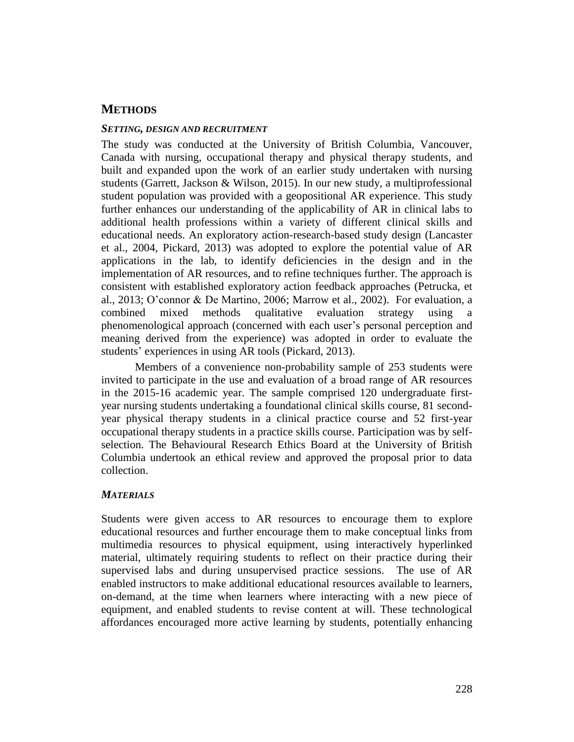## **METHODS**

#### *SETTING, DESIGN AND RECRUITMENT*

The study was conducted at the University of British Columbia, Vancouver, Canada with nursing, occupational therapy and physical therapy students, and built and expanded upon the work of an earlier study undertaken with nursing students (Garrett, Jackson & Wilson, 2015). In our new study, a multiprofessional student population was provided with a geopositional AR experience. This study further enhances our understanding of the applicability of AR in clinical labs to additional health professions within a variety of different clinical skills and educational needs. An exploratory action-research-based study design (Lancaster et al., 2004, Pickard, 2013) was adopted to explore the potential value of AR applications in the lab, to identify deficiencies in the design and in the implementation of AR resources, and to refine techniques further. The approach is consistent with established exploratory action feedback approaches (Petrucka, et al., 2013; O'connor & De Martino, 2006; Marrow et al., 2002). For evaluation, a combined mixed methods qualitative evaluation strategy using a phenomenological approach (concerned with each user's personal perception and meaning derived from the experience) was adopted in order to evaluate the students' experiences in using AR tools (Pickard, 2013).

Members of a convenience non-probability sample of 253 students were invited to participate in the use and evaluation of a broad range of AR resources in the 2015-16 academic year. The sample comprised 120 undergraduate firstyear nursing students undertaking a foundational clinical skills course, 81 secondyear physical therapy students in a clinical practice course and 52 first-year occupational therapy students in a practice skills course. Participation was by selfselection. The Behavioural Research Ethics Board at the University of British Columbia undertook an ethical review and approved the proposal prior to data collection.

### *MATERIALS*

Students were given access to AR resources to encourage them to explore educational resources and further encourage them to make conceptual links from multimedia resources to physical equipment, using interactively hyperlinked material, ultimately requiring students to reflect on their practice during their supervised labs and during unsupervised practice sessions. The use of AR enabled instructors to make additional educational resources available to learners, on-demand, at the time when learners where interacting with a new piece of equipment, and enabled students to revise content at will. These technological affordances encouraged more active learning by students, potentially enhancing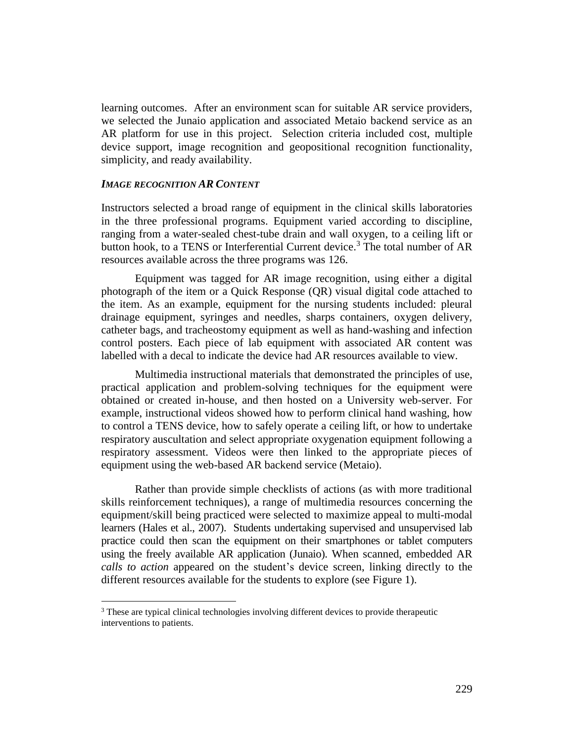learning outcomes. After an environment scan for suitable AR service providers, we selected the Junaio application and associated Metaio backend service as an AR platform for use in this project. Selection criteria included cost, multiple device support, image recognition and geopositional recognition functionality, simplicity, and ready availability.

#### *IMAGE RECOGNITION AR CONTENT*

 $\overline{a}$ 

Instructors selected a broad range of equipment in the clinical skills laboratories in the three professional programs. Equipment varied according to discipline, ranging from a water-sealed chest-tube drain and wall oxygen, to a ceiling lift or button hook, to a TENS or Interferential Current device. <sup>3</sup> The total number of AR resources available across the three programs was 126.

Equipment was tagged for AR image recognition, using either a digital photograph of the item or a Quick Response (QR) visual digital code attached to the item. As an example, equipment for the nursing students included: pleural drainage equipment, syringes and needles, sharps containers, oxygen delivery, catheter bags, and tracheostomy equipment as well as hand-washing and infection control posters. Each piece of lab equipment with associated AR content was labelled with a decal to indicate the device had AR resources available to view.

Multimedia instructional materials that demonstrated the principles of use, practical application and problem-solving techniques for the equipment were obtained or created in-house, and then hosted on a University web-server. For example, instructional videos showed how to perform clinical hand washing, how to control a TENS device, how to safely operate a ceiling lift, or how to undertake respiratory auscultation and select appropriate oxygenation equipment following a respiratory assessment. Videos were then linked to the appropriate pieces of equipment using the web-based AR backend service (Metaio).

Rather than provide simple checklists of actions (as with more traditional skills reinforcement techniques), a range of multimedia resources concerning the equipment/skill being practiced were selected to maximize appeal to multi-modal learners (Hales et al., 2007). Students undertaking supervised and unsupervised lab practice could then scan the equipment on their smartphones or tablet computers using the freely available AR application (Junaio). When scanned, embedded AR *calls to action* appeared on the student's device screen, linking directly to the different resources available for the students to explore (see Figure 1).

<sup>&</sup>lt;sup>3</sup> These are typical clinical technologies involving different devices to provide therapeutic interventions to patients.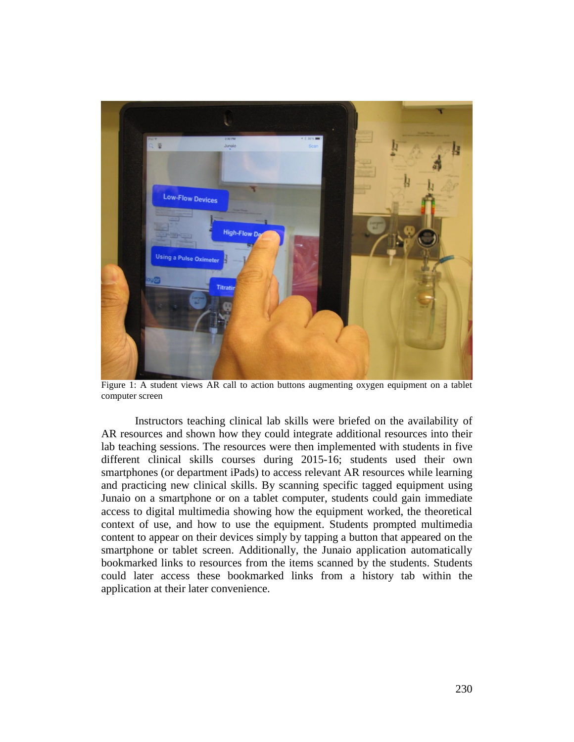

Figure 1: A student views AR call to action buttons augmenting oxygen equipment on a tablet computer screen

Instructors teaching clinical lab skills were briefed on the availability of AR resources and shown how they could integrate additional resources into their lab teaching sessions. The resources were then implemented with students in five different clinical skills courses during 2015-16; students used their own smartphones (or department iPads) to access relevant AR resources while learning and practicing new clinical skills. By scanning specific tagged equipment using Junaio on a smartphone or on a tablet computer, students could gain immediate access to digital multimedia showing how the equipment worked, the theoretical context of use, and how to use the equipment. Students prompted multimedia content to appear on their devices simply by tapping a button that appeared on the smartphone or tablet screen. Additionally, the Junaio application automatically bookmarked links to resources from the items scanned by the students. Students could later access these bookmarked links from a history tab within the application at their later convenience.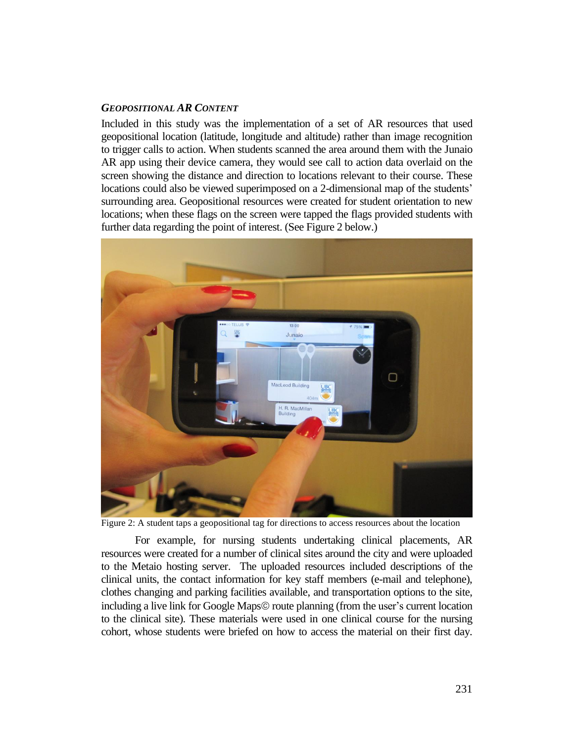#### *GEOPOSITIONAL AR CONTENT*

Included in this study was the implementation of a set of AR resources that used geopositional location (latitude, longitude and altitude) rather than image recognition to trigger calls to action. When students scanned the area around them with the Junaio AR app using their device camera, they would see call to action data overlaid on the screen showing the distance and direction to locations relevant to their course. These locations could also be viewed superimposed on a 2-dimensional map of the students' surrounding area. Geopositional resources were created for student orientation to new locations; when these flags on the screen were tapped the flags provided students with further data regarding the point of interest. (See Figure 2 below.)



Figure 2: A student taps a geopositional tag for directions to access resources about the location

For example, for nursing students undertaking clinical placements, AR resources were created for a number of clinical sites around the city and were uploaded to the Metaio hosting server. The uploaded resources included descriptions of the clinical units, the contact information for key staff members (e-mail and telephone), clothes changing and parking facilities available, and transportation options to the site, including a live link for Google Maps© route planning (from the user's current location to the clinical site). These materials were used in one clinical course for the nursing cohort, whose students were briefed on how to access the material on their first day.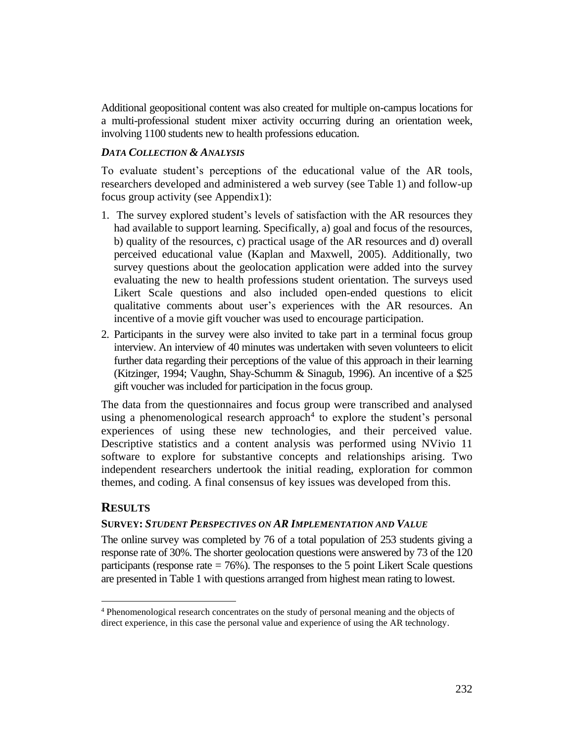Additional geopositional content was also created for multiple on-campus locations for a multi-professional student mixer activity occurring during an orientation week, involving 1100 students new to health professions education.

#### *DATA COLLECTION & ANALYSIS*

To evaluate student's perceptions of the educational value of the AR tools, researchers developed and administered a web survey (see Table 1) and follow-up focus group activity (see Appendix1):

- 1. The survey explored student's levels of satisfaction with the AR resources they had available to support learning. Specifically, a) goal and focus of the resources, b) quality of the resources, c) practical usage of the AR resources and d) overall perceived educational value (Kaplan and Maxwell, 2005). Additionally, two survey questions about the geolocation application were added into the survey evaluating the new to health professions student orientation. The surveys used Likert Scale questions and also included open-ended questions to elicit qualitative comments about user's experiences with the AR resources. An incentive of a movie gift voucher was used to encourage participation.
- 2. Participants in the survey were also invited to take part in a terminal focus group interview. An interview of 40 minutes was undertaken with seven volunteers to elicit further data regarding their perceptions of the value of this approach in their learning (Kitzinger, 1994; Vaughn, Shay-Schumm & Sinagub, 1996). An incentive of a \$25 gift voucher was included for participation in the focus group.

The data from the questionnaires and focus group were transcribed and analysed using a phenomenological research approach<sup>4</sup> to explore the student's personal experiences of using these new technologies, and their perceived value. Descriptive statistics and a content analysis was performed using NVivio 11 software to explore for substantive concepts and relationships arising. Two independent researchers undertook the initial reading, exploration for common themes, and coding. A final consensus of key issues was developed from this.

### **RESULTS**

 $\overline{a}$ 

### **SURVEY:** *STUDENT PERSPECTIVES ON AR IMPLEMENTATION AND VALUE*

The online survey was completed by 76 of a total population of 253 students giving a response rate of 30%. The shorter geolocation questions were answered by 73 of the 120 participants (response rate  $= 76\%$ ). The responses to the 5 point Likert Scale questions are presented in Table 1 with questions arranged from highest mean rating to lowest.

<sup>4</sup> Phenomenological research concentrates on the study of personal meaning and the objects of direct experience, in this case the personal value and experience of using the AR technology.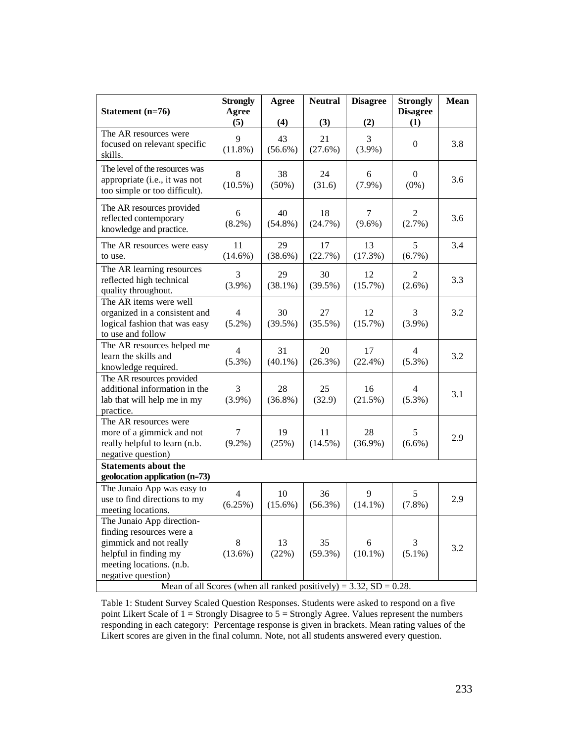|                                                                                                                                                            | <b>Strongly</b>             | Agree            | <b>Neutral</b>   | <b>Disagree</b>  | <b>Strongly</b>             | <b>Mean</b> |
|------------------------------------------------------------------------------------------------------------------------------------------------------------|-----------------------------|------------------|------------------|------------------|-----------------------------|-------------|
| Statement (n=76)                                                                                                                                           | Agree<br>(5)                | (4)              | (3)              | (2)              | <b>Disagree</b><br>(1)      |             |
| The AR resources were<br>focused on relevant specific<br>skills.                                                                                           | 9<br>$(11.8\%)$             | 43<br>$(56.6\%)$ | 21<br>(27.6%)    | 3<br>$(3.9\%)$   | $\mathbf{0}$                | 3.8         |
| The level of the resources was<br>appropriate (i.e., it was not<br>too simple or too difficult).                                                           | 8<br>$(10.5\%)$             | 38<br>$(50\%)$   | 24<br>(31.6)     | 6<br>$(7.9\%)$   | 0<br>$(0\%)$                | 3.6         |
| The AR resources provided<br>reflected contemporary<br>knowledge and practice.                                                                             | 6<br>$(8.2\%)$              | 40<br>$(54.8\%)$ | 18<br>(24.7%)    | 7<br>$(9.6\%)$   | 2<br>(2.7%)                 | 3.6         |
| The AR resources were easy<br>to use.                                                                                                                      | 11<br>$(14.6\%)$            | 29<br>(38.6%)    | 17<br>(22.7%)    | 13<br>(17.3%)    | 5<br>(6.7%)                 | 3.4         |
| The AR learning resources<br>reflected high technical<br>quality throughout.                                                                               | 3<br>$(3.9\%)$              | 29<br>$(38.1\%)$ | 30<br>$(39.5\%)$ | 12<br>(15.7%)    | 2<br>$(2.6\%)$              | 3.3         |
| The AR items were well<br>organized in a consistent and<br>logical fashion that was easy<br>to use and follow                                              | $\overline{4}$<br>$(5.2\%)$ | 30<br>$(39.5\%)$ | 27<br>$(35.5\%)$ | 12<br>(15.7%)    | 3<br>$(3.9\%)$              | 3.2         |
| The AR resources helped me<br>learn the skills and<br>knowledge required.                                                                                  | $\overline{4}$<br>$(5.3\%)$ | 31<br>$(40.1\%)$ | 20<br>$(26.3\%)$ | 17<br>$(22.4\%)$ | $\overline{4}$<br>$(5.3\%)$ | 3.2         |
| The AR resources provided<br>additional information in the<br>lab that will help me in my<br>practice.                                                     | 3<br>$(3.9\%)$              | 28<br>$(36.8\%)$ | 25<br>(32.9)     | 16<br>(21.5%)    | $\overline{4}$<br>$(5.3\%)$ | 3.1         |
| The AR resources were<br>more of a gimmick and not<br>really helpful to learn (n.b.<br>negative question)                                                  | 7<br>$(9.2\%)$              | 19<br>(25%)      | 11<br>$(14.5\%)$ | 28<br>$(36.9\%)$ | 5<br>$(6.6\%)$              | 2.9         |
| <b>Statements about the</b><br>geolocation application (n=73)                                                                                              |                             |                  |                  |                  |                             |             |
| The Junaio App was easy to<br>use to find directions to my<br>meeting locations.                                                                           | 4<br>(6.25%)                | 10<br>$(15.6\%)$ | 36<br>$(56.3\%)$ | 9<br>$(14.1\%)$  | 5<br>(7.8%)                 | 2.9         |
| The Junaio App direction-<br>finding resources were a<br>gimmick and not really<br>helpful in finding my<br>meeting locations. (n.b.<br>negative question) | 8<br>$(13.6\%)$             | 13<br>(22%)      | 35<br>$(59.3\%)$ | 6<br>$(10.1\%)$  | 3<br>$(5.1\%)$              | 3.2         |
| Mean of all Scores (when all ranked positively) = $3.32$ , SD = $0.28$ .                                                                                   |                             |                  |                  |                  |                             |             |

Table 1: Student Survey Scaled Question Responses. Students were asked to respond on a five point Likert Scale of  $1 =$  Strongly Disagree to  $5 =$  Strongly Agree. Values represent the numbers responding in each category: Percentage response is given in brackets. Mean rating values of the Likert scores are given in the final column. Note, not all students answered every question.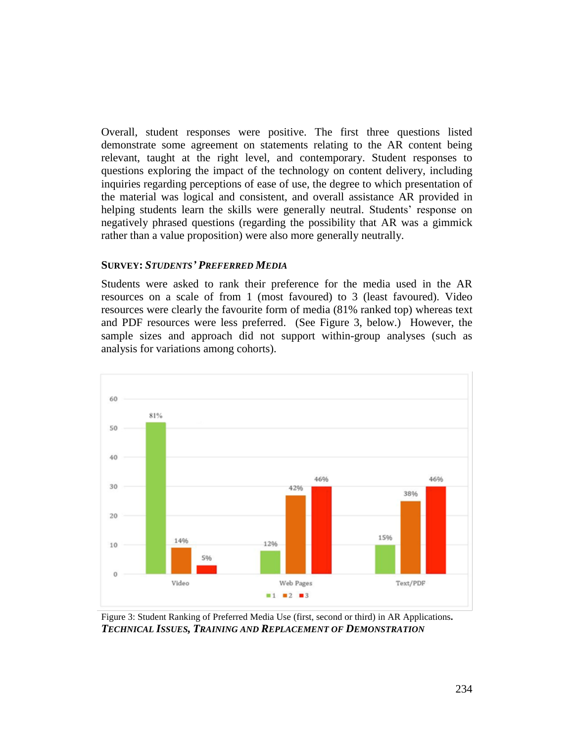Overall, student responses were positive. The first three questions listed demonstrate some agreement on statements relating to the AR content being relevant, taught at the right level, and contemporary. Student responses to questions exploring the impact of the technology on content delivery, including inquiries regarding perceptions of ease of use, the degree to which presentation of the material was logical and consistent, and overall assistance AR provided in helping students learn the skills were generally neutral. Students' response on negatively phrased questions (regarding the possibility that AR was a gimmick rather than a value proposition) were also more generally neutrally.

#### **SURVEY:** *STUDENTS' PREFERRED MEDIA*

Students were asked to rank their preference for the media used in the AR resources on a scale of from 1 (most favoured) to 3 (least favoured). Video resources were clearly the favourite form of media (81% ranked top) whereas text and PDF resources were less preferred. (See Figure 3, below.) However, the sample sizes and approach did not support within-group analyses (such as analysis for variations among cohorts).



Figure 3: Student Ranking of Preferred Media Use (first, second or third) in AR Applications**.** *TECHNICAL ISSUES, TRAINING AND REPLACEMENT OF DEMONSTRATION*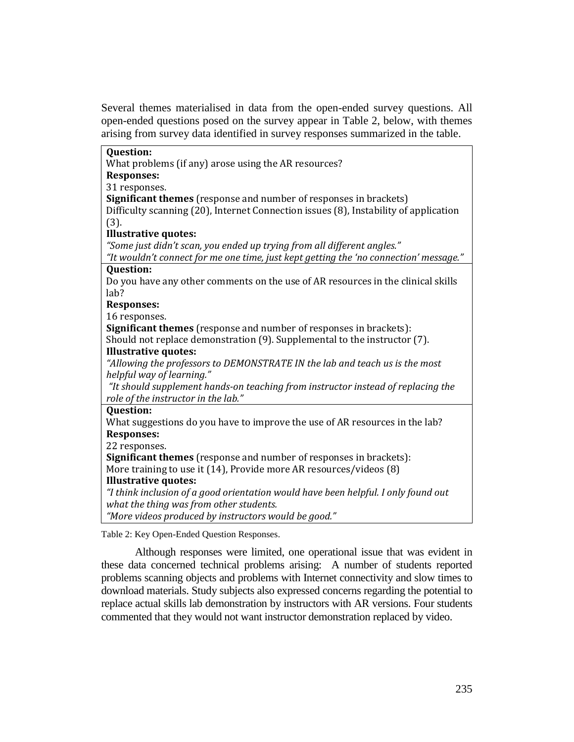Several themes materialised in data from the open-ended survey questions. All open-ended questions posed on the survey appear in Table 2, below, with themes arising from survey data identified in survey responses summarized in the table.

| <b>Question:</b>                                                                      |
|---------------------------------------------------------------------------------------|
| What problems (if any) arose using the AR resources?                                  |
| <b>Responses:</b>                                                                     |
| 31 responses.                                                                         |
| <b>Significant themes</b> (response and number of responses in brackets)              |
| Difficulty scanning (20), Internet Connection issues (8), Instability of application  |
| (3).                                                                                  |
| <b>Illustrative quotes:</b>                                                           |
| "Some just didn't scan, you ended up trying from all different angles."               |
| "It wouldn't connect for me one time, just kept getting the 'no connection' message." |
| <b>Question:</b>                                                                      |
| Do you have any other comments on the use of AR resources in the clinical skills      |
| lab?                                                                                  |
| <b>Responses:</b>                                                                     |
| 16 responses.                                                                         |
| <b>Significant themes</b> (response and number of responses in brackets):             |
| Should not replace demonstration (9). Supplemental to the instructor (7).             |
| <b>Illustrative quotes:</b>                                                           |
| "Allowing the professors to DEMONSTRATE IN the lab and teach us is the most           |
| helpful way of learning."                                                             |
| "It should supplement hands-on teaching from instructor instead of replacing the      |
| role of the instructor in the lab."                                                   |
| <b>Question:</b>                                                                      |
| What suggestions do you have to improve the use of AR resources in the lab?           |
| <b>Responses:</b>                                                                     |
| 22 responses.                                                                         |
| Significant themes (response and number of responses in brackets):                    |
| More training to use it (14), Provide more AR resources/videos (8)                    |
| <b>Illustrative quotes:</b>                                                           |
| "I think inclusion of a good orientation would have been helpful. I only found out    |
| what the thing was from other students.                                               |
| "More videos produced by instructors would be good."                                  |
| Table 2: Key Open-Ended Question Responses.                                           |

Although responses were limited, one operational issue that was evident in these data concerned technical problems arising: A number of students reported problems scanning objects and problems with Internet connectivity and slow times to download materials. Study subjects also expressed concerns regarding the potential to replace actual skills lab demonstration by instructors with AR versions. Four students commented that they would not want instructor demonstration replaced by video.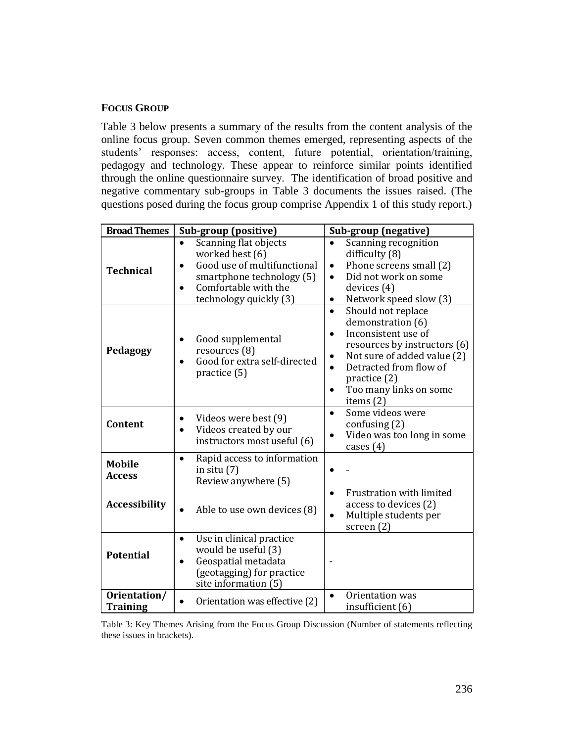## **FOCUS GROUP**

Table 3 below presents a summary of the results from the content analysis of the online focus group. Seven common themes emerged, representing aspects of the students' responses: access, content, future potential, orientation/training, pedagogy and technology. These appear to reinforce similar points identified through the online questionnaire survey. The identification of broad positive and negative commentary sub-groups in Table 3 documents the issues raised. (The questions posed during the focus group comprise Appendix 1 of this study report.)

| <b>Broad Themes</b>             | Sub-group (positive)                                                                                                                                                             | Sub-group (negative)                                                                                                                                                                                                                                                 |  |  |  |
|---------------------------------|----------------------------------------------------------------------------------------------------------------------------------------------------------------------------------|----------------------------------------------------------------------------------------------------------------------------------------------------------------------------------------------------------------------------------------------------------------------|--|--|--|
| <b>Technical</b>                | Scanning flat objects<br>$\bullet$<br>worked best (6)<br>Good use of multifunctional<br>smartphone technology (5)<br>Comfortable with the<br>$\bullet$<br>technology quickly (3) | Scanning recognition<br>$\bullet$<br>difficulty (8)<br>Phone screens small (2)<br>$\bullet$<br>Did not work on some<br>$\bullet$<br>devices (4)<br>Network speed slow (3)<br>$\bullet$                                                                               |  |  |  |
| Pedagogy                        | Good supplemental<br>٠<br>resources (8)<br>Good for extra self-directed<br>$\bullet$<br>practice (5)                                                                             | Should not replace<br>$\bullet$<br>demonstration (6)<br>Inconsistent use of<br>$\bullet$<br>resources by instructors (6)<br>Not sure of added value (2)<br>$\bullet$<br>Detracted from flow of<br>$\bullet$<br>practice (2)<br>Too many links on some<br>items $(2)$ |  |  |  |
| Content                         | Videos were best (9)<br>Videos created by our<br>$\bullet$<br>instructors most useful (6)                                                                                        | Some videos were<br>$\bullet$<br>confusing $(2)$<br>Video was too long in some<br>$\bullet$<br>cases $(4)$                                                                                                                                                           |  |  |  |
| <b>Mobile</b><br><b>Access</b>  | Rapid access to information<br>$\bullet$<br>in situ $(7)$<br>Review anywhere (5)                                                                                                 |                                                                                                                                                                                                                                                                      |  |  |  |
| <b>Accessibility</b>            | Able to use own devices (8)                                                                                                                                                      | Frustration with limited<br>$\bullet$<br>access to devices (2)<br>Multiple students per<br>$\bullet$<br>screen $(2)$                                                                                                                                                 |  |  |  |
| <b>Potential</b>                | Use in clinical practice<br>$\bullet$<br>would be useful (3)<br>Geospatial metadata<br>$\bullet$<br>(geotagging) for practice<br>site information (5)                            |                                                                                                                                                                                                                                                                      |  |  |  |
| Orientation/<br><b>Training</b> | Orientation was effective (2)<br>$\bullet$                                                                                                                                       | Orientation was<br>insufficient (6)                                                                                                                                                                                                                                  |  |  |  |

Table 3: Key Themes Arising from the Focus Group Discussion (Number of statements reflecting these issues in brackets).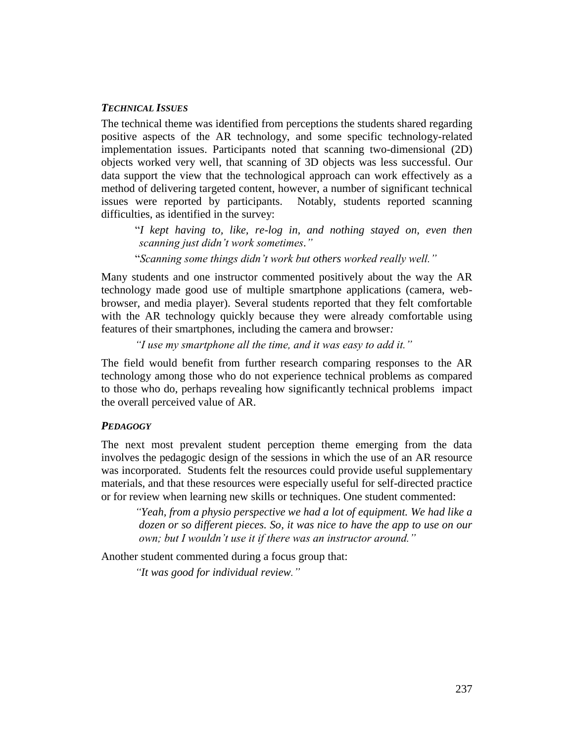#### *TECHNICAL ISSUES*

The technical theme was identified from perceptions the students shared regarding positive aspects of the AR technology, and some specific technology-related implementation issues. Participants noted that scanning two-dimensional (2D) objects worked very well, that scanning of 3D objects was less successful. Our data support the view that the technological approach can work effectively as a method of delivering targeted content, however, a number of significant technical issues were reported by participants. Notably, students reported scanning difficulties, as identified in the survey:

"*I kept having to, like, re-log in, and nothing stayed on, even then scanning just didn't work sometimes."*

"*Scanning some things didn't work but others worked really well."*

Many students and one instructor commented positively about the way the AR technology made good use of multiple smartphone applications (camera, webbrowser, and media player). Several students reported that they felt comfortable with the AR technology quickly because they were already comfortable using features of their smartphones, including the camera and browser*:* 

*"I use my smartphone all the time, and it was easy to add it."*

The field would benefit from further research comparing responses to the AR technology among those who do not experience technical problems as compared to those who do, perhaps revealing how significantly technical problems impact the overall perceived value of AR.

#### *PEDAGOGY*

The next most prevalent student perception theme emerging from the data involves the pedagogic design of the sessions in which the use of an AR resource was incorporated. Students felt the resources could provide useful supplementary materials, and that these resources were especially useful for self-directed practice or for review when learning new skills or techniques. One student commented:

*"Yeah, from a physio perspective we had a lot of equipment. We had like a dozen or so different pieces. So, it was nice to have the app to use on our own; but I wouldn't use it if there was an instructor around."*

Another student commented during a focus group that:

*"It was good for individual review."*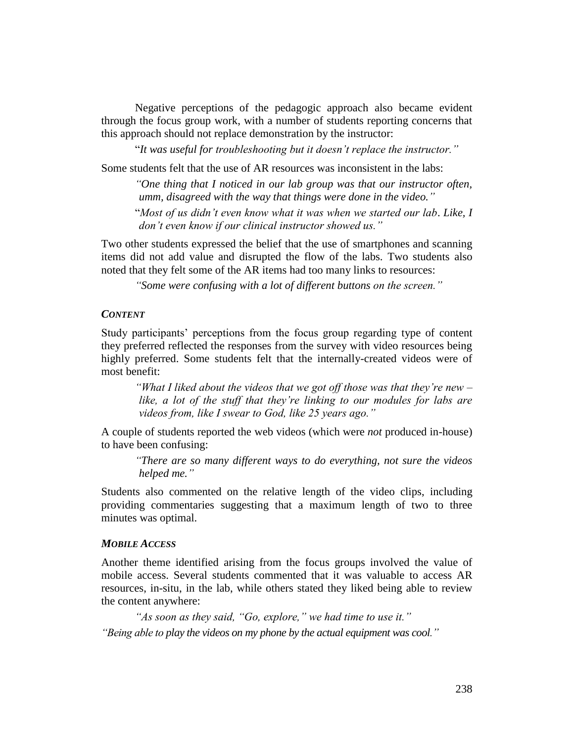Negative perceptions of the pedagogic approach also became evident through the focus group work, with a number of students reporting concerns that this approach should not replace demonstration by the instructor:

"*It was useful for troubleshooting but it doesn't replace the instructor."*

Some students felt that the use of AR resources was inconsistent in the labs:

*"One thing that I noticed in our lab group was that our instructor often, umm, disagreed with the way that things were done in the video."*

"*Most of us didn't even know what it was when we started our lab*. *Like, I don't even know if our clinical instructor showed us."*

Two other students expressed the belief that the use of smartphones and scanning items did not add value and disrupted the flow of the labs. Two students also noted that they felt some of the AR items had too many links to resources:

*"Some were confusing with a lot of different buttons on the screen."*

#### *CONTENT*

Study participants' perceptions from the focus group regarding type of content they preferred reflected the responses from the survey with video resources being highly preferred. Some students felt that the internally-created videos were of most benefit:

*"What I liked about the videos that we got off those was that they're new – like, a lot of the stuff that they're linking to our modules for labs are videos from, like I swear to God, like 25 years ago."*

A couple of students reported the web videos (which were *not* produced in-house) to have been confusing:

*"There are so many different ways to do everything, not sure the videos helped me."*

Students also commented on the relative length of the video clips, including providing commentaries suggesting that a maximum length of two to three minutes was optimal.

#### *MOBILE ACCESS*

Another theme identified arising from the focus groups involved the value of mobile access. Several students commented that it was valuable to access AR resources, in-situ, in the lab, while others stated they liked being able to review the content anywhere:

*"As soon as they said, "Go, explore," we had time to use it." "Being able to play the videos on my phone by the actual equipment was cool."*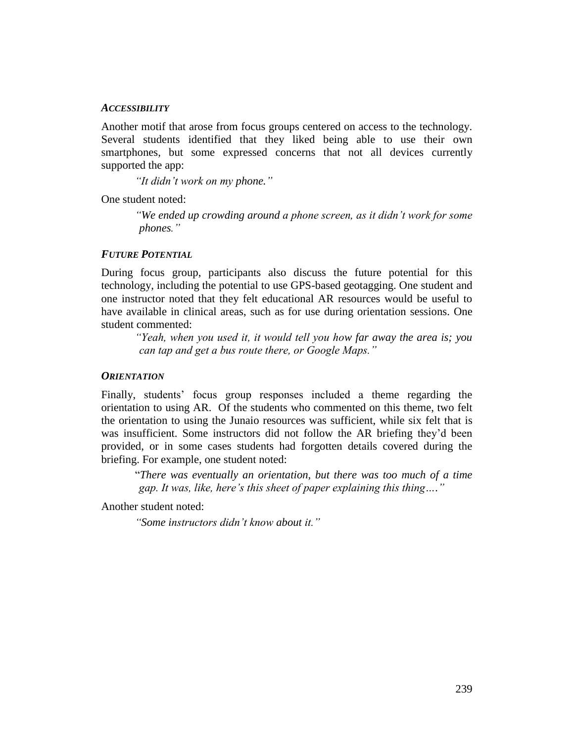#### *ACCESSIBILITY*

Another motif that arose from focus groups centered on access to the technology. Several students identified that they liked being able to use their own smartphones, but some expressed concerns that not all devices currently supported the app:

*"It didn't work on my phone."*

One student noted:

*"We ended up crowding around a phone screen, as it didn't work for some phones."*

## *FUTURE POTENTIAL*

During focus group, participants also discuss the future potential for this technology, including the potential to use GPS-based geotagging. One student and one instructor noted that they felt educational AR resources would be useful to have available in clinical areas, such as for use during orientation sessions. One student commented:

*"Yeah, when you used it, it would tell you how far away the area is; you can tap and get a bus route there, or Google Maps."*

#### *ORIENTATION*

Finally, students' focus group responses included a theme regarding the orientation to using AR. Of the students who commented on this theme, two felt the orientation to using the Junaio resources was sufficient, while six felt that is was insufficient. Some instructors did not follow the AR briefing they'd been provided, or in some cases students had forgotten details covered during the briefing. For example, one student noted:

"*There was eventually an orientation, but there was too much of a time gap. It was, like, here's this sheet of paper explaining this thing…."*

Another student noted:

*"Some instructors didn't know about it."*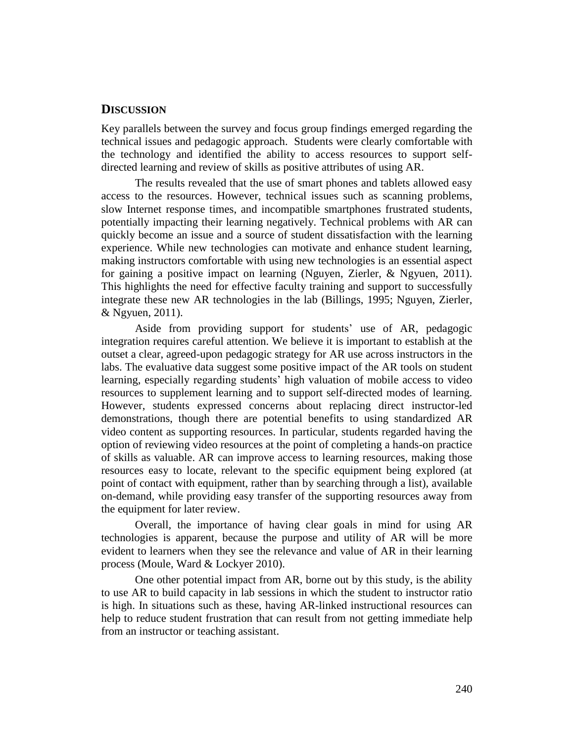#### **DISCUSSION**

Key parallels between the survey and focus group findings emerged regarding the technical issues and pedagogic approach. Students were clearly comfortable with the technology and identified the ability to access resources to support selfdirected learning and review of skills as positive attributes of using AR.

The results revealed that the use of smart phones and tablets allowed easy access to the resources. However, technical issues such as scanning problems, slow Internet response times, and incompatible smartphones frustrated students, potentially impacting their learning negatively. Technical problems with AR can quickly become an issue and a source of student dissatisfaction with the learning experience. While new technologies can motivate and enhance student learning, making instructors comfortable with using new technologies is an essential aspect for gaining a positive impact on learning (Nguyen, Zierler, & Ngyuen, 2011). This highlights the need for effective faculty training and support to successfully integrate these new AR technologies in the lab (Billings, 1995; Nguyen, Zierler, & Ngyuen, 2011).

Aside from providing support for students' use of AR, pedagogic integration requires careful attention. We believe it is important to establish at the outset a clear, agreed-upon pedagogic strategy for AR use across instructors in the labs. The evaluative data suggest some positive impact of the AR tools on student learning, especially regarding students' high valuation of mobile access to video resources to supplement learning and to support self-directed modes of learning. However, students expressed concerns about replacing direct instructor-led demonstrations, though there are potential benefits to using standardized AR video content as supporting resources. In particular, students regarded having the option of reviewing video resources at the point of completing a hands-on practice of skills as valuable. AR can improve access to learning resources, making those resources easy to locate, relevant to the specific equipment being explored (at point of contact with equipment, rather than by searching through a list), available on-demand, while providing easy transfer of the supporting resources away from the equipment for later review.

Overall, the importance of having clear goals in mind for using AR technologies is apparent, because the purpose and utility of AR will be more evident to learners when they see the relevance and value of AR in their learning process (Moule, Ward & Lockyer 2010).

One other potential impact from AR, borne out by this study, is the ability to use AR to build capacity in lab sessions in which the student to instructor ratio is high. In situations such as these, having AR-linked instructional resources can help to reduce student frustration that can result from not getting immediate help from an instructor or teaching assistant.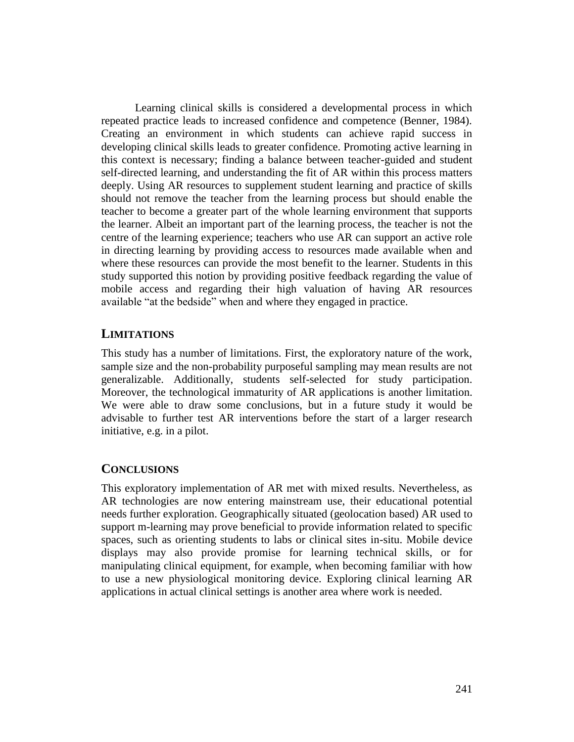Learning clinical skills is considered a developmental process in which repeated practice leads to increased confidence and competence (Benner, 1984). Creating an environment in which students can achieve rapid success in developing clinical skills leads to greater confidence. Promoting active learning in this context is necessary; finding a balance between teacher-guided and student self-directed learning, and understanding the fit of AR within this process matters deeply. Using AR resources to supplement student learning and practice of skills should not remove the teacher from the learning process but should enable the teacher to become a greater part of the whole learning environment that supports the learner. Albeit an important part of the learning process, the teacher is not the centre of the learning experience; teachers who use AR can support an active role in directing learning by providing access to resources made available when and where these resources can provide the most benefit to the learner. Students in this study supported this notion by providing positive feedback regarding the value of mobile access and regarding their high valuation of having AR resources available "at the bedside" when and where they engaged in practice.

## **LIMITATIONS**

This study has a number of limitations. First, the exploratory nature of the work, sample size and the non-probability purposeful sampling may mean results are not generalizable. Additionally, students self-selected for study participation. Moreover, the technological immaturity of AR applications is another limitation. We were able to draw some conclusions, but in a future study it would be advisable to further test AR interventions before the start of a larger research initiative, e.g. in a pilot.

## **CONCLUSIONS**

This exploratory implementation of AR met with mixed results. Nevertheless, as AR technologies are now entering mainstream use, their educational potential needs further exploration. Geographically situated (geolocation based) AR used to support m-learning may prove beneficial to provide information related to specific spaces, such as orienting students to labs or clinical sites in-situ. Mobile device displays may also provide promise for learning technical skills, or for manipulating clinical equipment, for example, when becoming familiar with how to use a new physiological monitoring device. Exploring clinical learning AR applications in actual clinical settings is another area where work is needed.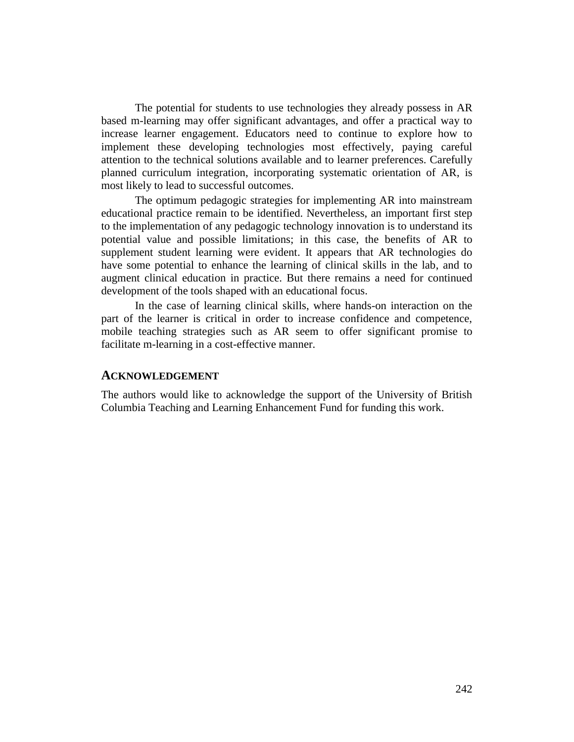The potential for students to use technologies they already possess in AR based m-learning may offer significant advantages, and offer a practical way to increase learner engagement. Educators need to continue to explore how to implement these developing technologies most effectively, paying careful attention to the technical solutions available and to learner preferences. Carefully planned curriculum integration, incorporating systematic orientation of AR, is most likely to lead to successful outcomes.

The optimum pedagogic strategies for implementing AR into mainstream educational practice remain to be identified. Nevertheless, an important first step to the implementation of any pedagogic technology innovation is to understand its potential value and possible limitations; in this case, the benefits of AR to supplement student learning were evident. It appears that AR technologies do have some potential to enhance the learning of clinical skills in the lab, and to augment clinical education in practice. But there remains a need for continued development of the tools shaped with an educational focus.

In the case of learning clinical skills, where hands-on interaction on the part of the learner is critical in order to increase confidence and competence, mobile teaching strategies such as AR seem to offer significant promise to facilitate m-learning in a cost-effective manner.

#### **ACKNOWLEDGEMENT**

The authors would like to acknowledge the support of the University of British Columbia Teaching and Learning Enhancement Fund for funding this work.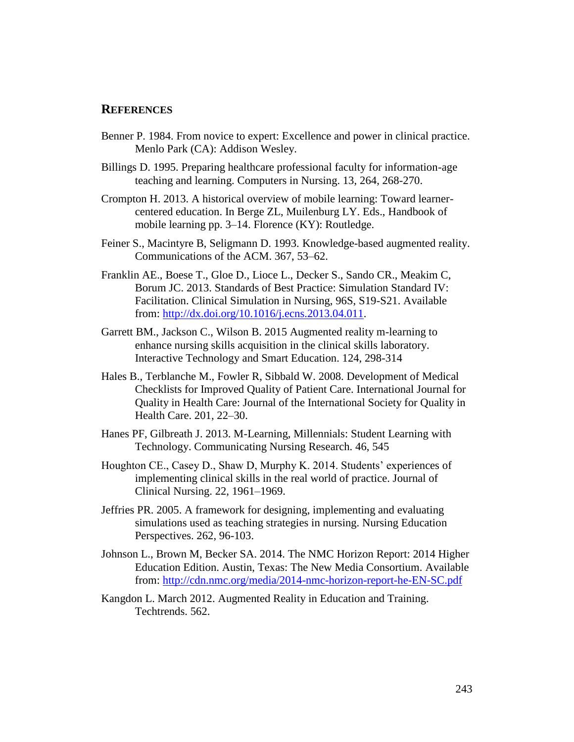#### **REFERENCES**

- Benner P. 1984. From novice to expert: Excellence and power in clinical practice. Menlo Park (CA): Addison Wesley.
- Billings D. 1995. Preparing healthcare professional faculty for information-age teaching and learning. Computers in Nursing. 13, 264, 268-270.
- Crompton H. 2013. A historical overview of mobile learning: Toward learnercentered education. In Berge ZL, Muilenburg LY. Eds., Handbook of mobile learning pp. 3–14. Florence (KY): Routledge.
- Feiner S., Macintyre B, Seligmann D. 1993. Knowledge-based augmented reality. Communications of the ACM. 367, 53–62.
- Franklin AE., Boese T., Gloe D., Lioce L., Decker S., Sando CR., Meakim C, Borum JC. 2013. Standards of Best Practice: Simulation Standard IV: Facilitation. Clinical Simulation in Nursing, 96S, S19-S21. Available from: [http://dx.doi.org/10.1016/j.ecns.2013.04.011.](http://dx.doi.org/10.1016/j.ecns.2013.04.011)
- Garrett BM., Jackson C., Wilson B. 2015 Augmented reality m-learning to enhance nursing skills acquisition in the clinical skills laboratory. Interactive Technology and Smart Education. 124, 298-314
- Hales B., Terblanche M., Fowler R, Sibbald W. 2008. Development of Medical Checklists for Improved Quality of Patient Care. International Journal for Quality in Health Care: Journal of the International Society for Quality in Health Care. 201, 22–30.
- Hanes PF, Gilbreath J. 2013. M-Learning, Millennials: Student Learning with Technology. Communicating Nursing Research. 46, 545
- Houghton CE., Casey D., Shaw D, Murphy K. 2014. Students' experiences of implementing clinical skills in the real world of practice. Journal of Clinical Nursing. 22, 1961–1969.
- Jeffries PR. 2005. A framework for designing, implementing and evaluating simulations used as teaching strategies in nursing. Nursing Education Perspectives. 262, 96-103.
- Johnson L., Brown M, Becker SA. 2014. The NMC Horizon Report: 2014 Higher Education Edition. Austin, Texas: The New Media Consortium. Available from:<http://cdn.nmc.org/media/2014-nmc-horizon-report-he-EN-SC.pdf>
- Kangdon L. March 2012. Augmented Reality in Education and Training. Techtrends. 562.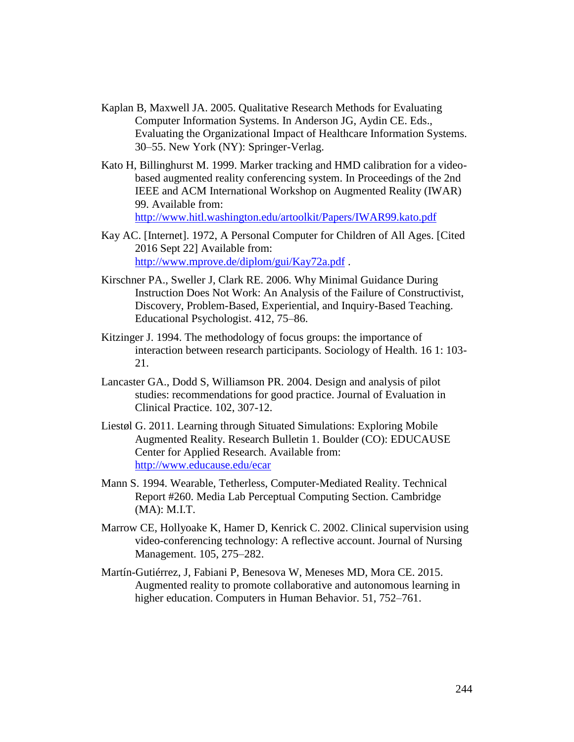- Kaplan B, Maxwell JA. 2005. Qualitative Research Methods for Evaluating Computer Information Systems. In Anderson JG, Aydin CE. Eds., Evaluating the Organizational Impact of Healthcare Information Systems. 30–55. New York (NY): Springer-Verlag.
- Kato H, Billinghurst M. 1999. Marker tracking and HMD calibration for a videobased augmented reality conferencing system. In Proceedings of the 2nd IEEE and ACM International Workshop on Augmented Reality (IWAR) 99. Available from: <http://www.hitl.washington.edu/artoolkit/Papers/IWAR99.kato.pdf>
- Kay AC. [Internet]. 1972, A Personal Computer for Children of All Ages. [Cited 2016 Sept 22] Available from: <http://www.mprove.de/diplom/gui/Kay72a.pdf> .
- Kirschner PA., Sweller J, Clark RE. 2006. Why Minimal Guidance During Instruction Does Not Work: An Analysis of the Failure of Constructivist, Discovery, Problem-Based, Experiential, and Inquiry-Based Teaching. Educational Psychologist. 412, 75–86.
- Kitzinger J. 1994. The methodology of focus groups: the importance of interaction between research participants. Sociology of Health. 16 1: 103- 21.
- Lancaster GA., Dodd S, Williamson PR. 2004. Design and analysis of pilot studies: recommendations for good practice. Journal of Evaluation in Clinical Practice. 102, 307-12.
- Liestøl G. 2011. Learning through Situated Simulations: Exploring Mobile Augmented Reality. Research Bulletin 1. Boulder (CO): EDUCAUSE Center for Applied Research. Available from: <http://www.educause.edu/ecar>
- Mann S. 1994. Wearable, Tetherless, Computer-Mediated Reality. Technical Report #260. Media Lab Perceptual Computing Section. Cambridge (MA): M.I.T.
- Marrow CE, Hollyoake K, Hamer D, Kenrick C. 2002. Clinical supervision using video-conferencing technology: A reflective account. Journal of Nursing Management. 105, 275–282.
- Martín-Gutiérrez, J, Fabiani P, Benesova W, Meneses MD, Mora CE. 2015. Augmented reality to promote collaborative and autonomous learning in higher education. Computers in Human Behavior. 51, 752–761.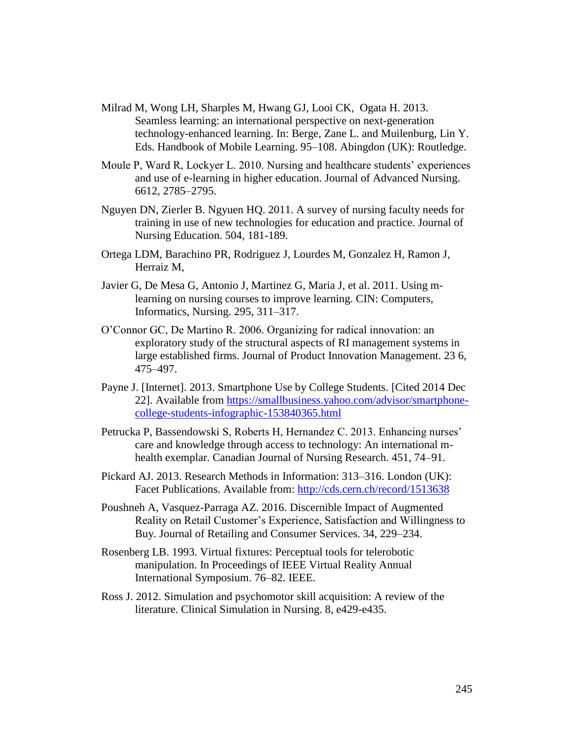- Milrad M, Wong LH, Sharples M, Hwang GJ, Looi CK, Ogata H. 2013. Seamless learning: an international perspective on next-generation technology-enhanced learning. In: Berge, Zane L. and Muilenburg, Lin Y. Eds. Handbook of Mobile Learning. 95–108. Abingdon (UK): Routledge.
- Moule P, Ward R, Lockyer L. 2010. Nursing and healthcare students' experiences and use of e-learning in higher education. Journal of Advanced Nursing. 6612, 2785–2795.
- Nguyen DN, Zierler B. Ngyuen HQ. 2011. A survey of nursing faculty needs for training in use of new technologies for education and practice. Journal of Nursing Education. 504, 181-189.
- Ortega LDM, Barachino PR, Rodriguez J, Lourdes M, Gonzalez H, Ramon J, Herraiz M,
- Javier G, De Mesa G, Antonio J, Martinez G, Maria J, et al. 2011. Using mlearning on nursing courses to improve learning. CIN: Computers, Informatics, Nursing. 295, 311–317.
- O'Connor GC, De Martino R. 2006. Organizing for radical innovation: an exploratory study of the structural aspects of RI management systems in large established firms. Journal of Product Innovation Management. 23 6, 475–497.
- Payne J. [Internet]. 2013. Smartphone Use by College Students. [Cited 2014 Dec 22]. Available from [https://smallbusiness.yahoo.com/advisor/smartphone](https://smallbusiness.yahoo.com/advisor/smartphone-college-students-infographic-153840365.html)[college-students-infographic-153840365.html](https://smallbusiness.yahoo.com/advisor/smartphone-college-students-infographic-153840365.html)
- Petrucka P, Bassendowski S, Roberts H, Hernandez C. 2013. Enhancing nurses' care and knowledge through access to technology: An international mhealth exemplar. Canadian Journal of Nursing Research. 451, 74–91.
- Pickard AJ. 2013. Research Methods in Information: 313–316. London (UK): Facet Publications. Available from:<http://cds.cern.ch/record/1513638>
- Poushneh A, Vasquez-Parraga AZ. 2016. Discernible Impact of Augmented Reality on Retail Customer's Experience, Satisfaction and Willingness to Buy. Journal of Retailing and Consumer Services. 34, 229–234.
- Rosenberg LB. 1993. Virtual fixtures: Perceptual tools for telerobotic manipulation. In Proceedings of IEEE Virtual Reality Annual International Symposium. 76–82. IEEE.
- Ross J. 2012. Simulation and psychomotor skill acquisition: A review of the literature. Clinical Simulation in Nursing. 8, e429-e435.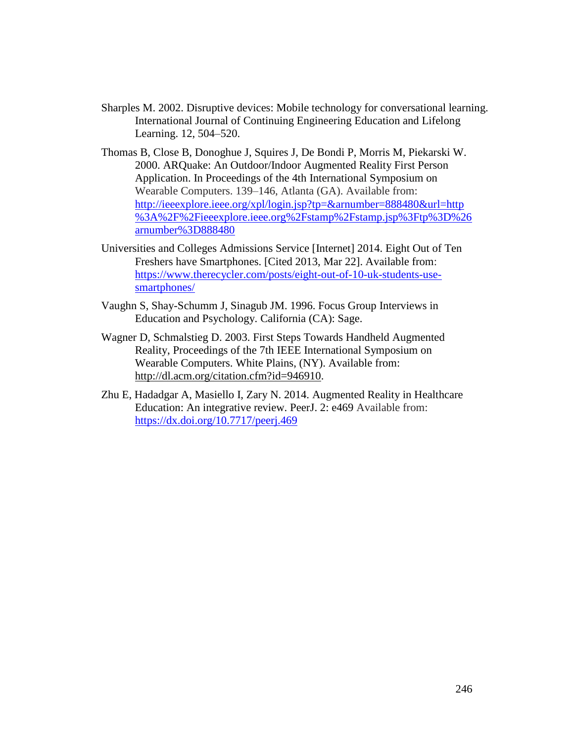- Sharples M. 2002. Disruptive devices: Mobile technology for conversational learning. International Journal of Continuing Engineering Education and Lifelong Learning. 12, 504–520.
- Thomas B, Close B, Donoghue J, Squires J, De Bondi P, Morris M, Piekarski W. 2000. ARQuake: An Outdoor/Indoor Augmented Reality First Person Application. In Proceedings of the 4th International Symposium on Wearable Computers. 139–146, Atlanta (GA). Available from: [http://ieeexplore.ieee.org/xpl/login.jsp?tp=&arnumber=888480&url=http](http://ieeexplore.ieee.org/xpl/login.jsp?tp=&arnumber=888480&url=http%3A%2F%2Fieeexplore.ieee.org%2Fstamp%2Fstamp.jsp%3Ftp%3D%26arnumber%3D888480) [%3A%2F%2Fieeexplore.ieee.org%2Fstamp%2Fstamp.jsp%3Ftp%3D%26](http://ieeexplore.ieee.org/xpl/login.jsp?tp=&arnumber=888480&url=http%3A%2F%2Fieeexplore.ieee.org%2Fstamp%2Fstamp.jsp%3Ftp%3D%26arnumber%3D888480) [arnumber%3D888480](http://ieeexplore.ieee.org/xpl/login.jsp?tp=&arnumber=888480&url=http%3A%2F%2Fieeexplore.ieee.org%2Fstamp%2Fstamp.jsp%3Ftp%3D%26arnumber%3D888480)
- Universities and Colleges Admissions Service [Internet] 2014. Eight Out of Ten Freshers have Smartphones. [Cited 2013, Mar 22]. Available from: [https://www.therecycler.com/posts/eight-out-of-10-uk-students-use](https://www.therecycler.com/posts/eight-out-of-10-uk-students-use-smartphones/)[smartphones/](https://www.therecycler.com/posts/eight-out-of-10-uk-students-use-smartphones/)
- Vaughn S, Shay-Schumm J, Sinagub JM. 1996. Focus Group Interviews in Education and Psychology. California (CA): Sage.
- Wagner D, Schmalstieg D. 2003. First Steps Towards Handheld Augmented Reality, Proceedings of the 7th IEEE International Symposium on Wearable Computers. White Plains, (NY). Available from: [http://dl.acm.org/citation.cfm?id=946910.](http://dl.acm.org/citation.cfm?id=946910)
- Zhu E, Hadadgar A, Masiello I, Zary N. 2014. Augmented Reality in Healthcare Education: An integrative review. PeerJ. 2: e469 Available from: <https://dx.doi.org/10.7717/peerj.469>